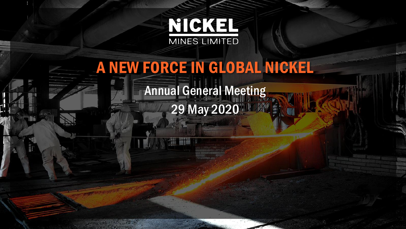

# A NEW FORCE IN GLOBAL NICKEL

Annual General Meeting 29 May 2020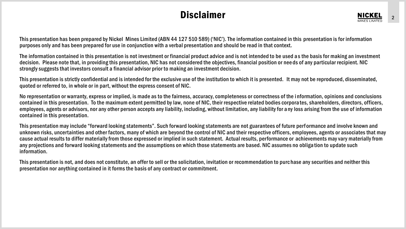#### **Disclaimer**

This presentation has been prepared by Nickel Mines Limited (ABN 44 127 510 589) ('NIC'). The information contained in this presentation is for information purposes only and has been prepared for use in conjunction with a verbal presentation and should be read in that context.

The information contained in this presentation is not investment or financial product advice and is not intended to be used a s the basis for making an investment decision. Please note that, in providing this presentation, NIC has not considered the objectives, financial position or nee ds of any particular recipient. NIC strongly suggests that investors consult a financial advisor prior to making an investment decision.

This presentation is strictly confidential and is intended for the exclusive use of the institution to which it is presented. It may not be reproduced, disseminated, quoted or referred to, in whole or in part, without the express consent of NIC.

No representation or warranty, express or implied, is made as to the fairness, accuracy, completeness or correctness of the i nformation, opinions and conclusions contained in this presentation. To the maximum extent permitted by law, none of NIC, their respective related bodies corpora tes, shareholders, directors, officers, employees, agents or advisors, nor any other person accepts any liability, including, without limitation, any liability for a ny loss arising from the use of information contained in this presentation.

This presentation may include "forward looking statements". Such forward looking statements are not guarantees of future perf ormance and involve known and unknown risks, uncertainties and other factors, many of which are beyond the control of NIC and their respective officers, employees, agents or associates that may cause actual results to differ materially from those expressed or implied in such statement. Actual results, performance or achievements may vary materially from any projections and forward looking statements and the assumptions on which those statements are based. NIC assumes no obliga tion to update such information.

This presentation is not, and does not constitute, an offer to sell or the solicitation, invitation or recommendation to purc hase any securities and neither this presentation nor anything contained in it forms the basis of any contract or commitment.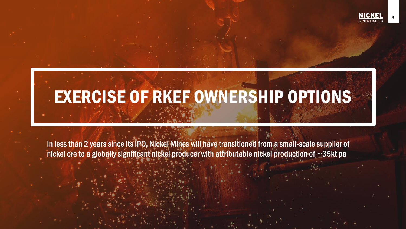3

# EXERCISE OF RKEF OWNERSHIP OPTIONS

In less than 2 years since its IPO, Nickel Mines will have transitioned from a small-scale supplier of nickel ore to a globally significant nickel producer with attributable nickel production of ~35kt pa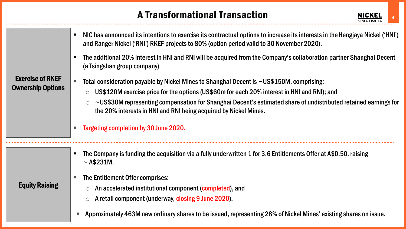## A Transformational Transaction



- NIC has announced its intentions to exercise its contractual options to increase its interests in the Hengjaya Nickel ('HNI') and Ranger Nickel ('RNI') RKEF projects to 80% (option period valid to 30 November 2020).
- The additional 20% interest in HNI and RNI will be acquired from the Company's collaboration partner Shanghai Decent (a Tsingshan group company)

#### Exercise of RKEF Ownership Options

Equity Raising

- Total consideration payable by Nickel Mines to Shanghai Decent is ~US\$150M, comprising:
	- o US\$120M exercise price for the options (US\$60m for each 20% interest in HNI and RNI); and
	- ~US\$30M representing compensation for Shanghai Decent's estimated share of undistributed retained earnings for the 20% interests in HNI and RNI being acquired by Nickel Mines.
- **Targeting completion by 30 June 2020.**
- The Company is funding the acquisition via a fully underwritten 1 for 3.6 Entitlements Offer at A\$0.50, raising  $~\sim$  A\$231M.
- The Entitlement Offer comprises:
	- An accelerated institutional component (completed), and
	- A retail component (underway, closing 9 June 2020).
- Approximately 463M new ordinary shares to be issued, representing 28% of Nickel Mines' existing shares on issue.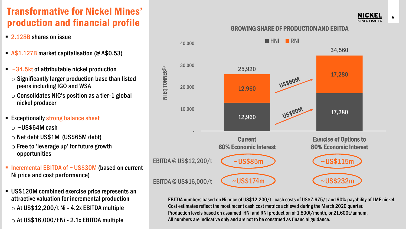## Transformative for Nickel Mines' production and financial profile

- 2.128B shares on issue
- A\$1.127B market capitalisation (@ A\$0.53)
- $\blacksquare$  ~34.5kt of attributable nickel production
	- $\circ$  Significantly larger production base than listed peers including IGO and WSA
	- $\circ$  Consolidates NIC's position as a tier-1 global nickel producer
- Exceptionally strong balance sheet
	- $\circ$  ~US\$64M cash
	- $\circ$  Net debt US\$1M (US\$65M debt)
	- $\circ$  Free to 'leverage up' for future growth opportunities
- Incremental EBITDA of ~US\$30M (based on current Ni price and cost performance)
- **EXECTE VISS120M combined exercise price represents an** attractive valuation for incremental production  $\circ$  At US\$12,200/t Ni - 4.2x EBITDA multiple
	- $\circ$  At US\$16,000/t Ni 2.1x EBITDA multiple

#### GROWING SHARE OF PRODUCTION AND EBITDA



EBITDA numbers based on Ni price of US\$12,200/t , cash costs of US\$7,675/t and 90% payability of LME nickel. Cost estimates reflect the most recent cash cost metrics achieved during the March 2020 quarter. Production levels based on assumed HNI and RNI production of 1,800t/month, or 21,600t/annum. All numbers are indicative only and are not to be construed as financial guidance.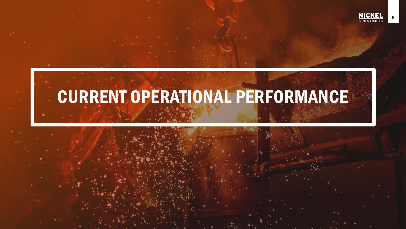

6

# CURRENT OPERATIONAL PERFORMANCE

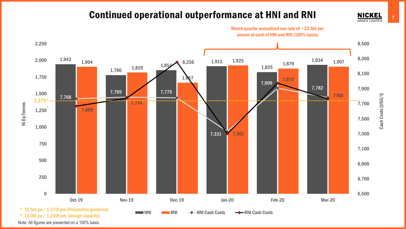#### Continued operational outperformance at HNI and RNI

March quarter annualised run-rate of ~22.5kt per



^ 15.0kt pa / 1,250t pm (design capacity)

Note: All figures are presented on a 100% basis.

7

**NICKEL MINES LIMITED** 

Cash Costs (USD/t)

Cash Costs (USD/t)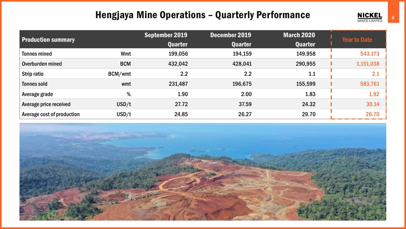#### Hengjaya Mine Operations – Quarterly Performance

| <b>Production summary</b>  |            | September 2019<br><b>Quarter</b> | December 2019<br><b>Quarter</b> | <b>March 2020</b><br><b>Quarter</b> | Year to Date |
|----------------------------|------------|----------------------------------|---------------------------------|-------------------------------------|--------------|
| <b>Tonnes mined</b>        | Wmt        | 199,056                          | 194,159                         | 149,958                             | 543,173      |
| Overburden mined           | <b>BCM</b> | 432,042                          | 428,041                         | 290,955                             | 1,151,038    |
| Strip ratio                | BCM/wmt    | 2.2                              | 2.2                             | 1.1                                 | 2.1          |
| Tonnes sold                | wmt        | 231,487                          | 196,675                         | 155,599                             | 583,761      |
| Average grade              | %          | 1.90                             | 2.00                            | 1.83                                | 1.92         |
| Average price received     | USD/t      | 27.72                            | 37.59                           | 24.32                               | 30.14        |
| Average cost of production | USD/t      | 24.85                            | 26.27                           | 29.70                               | 26.70        |



**NICKEL**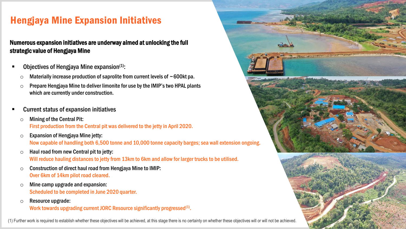## Hengjaya Mine Expansion Initiatives

#### Numerous expansion initiatives are underway aimed at unlocking the full strategic value of Hengjaya Mine

- Objectives of Hengjaya Mine expansion $(1)$ :
	- $\circ$  Materially increase production of saprolite from current levels of  $\sim$  600 kt pa.
	- $\circ$  Prepare Hengjaya Mine to deliver limonite for use by the IMIP's two HPAL plants which are currently under construction.
- Current status of expansion initiatives
	- $\circ$  Mining of the Central Pit: First production from the Central pit was delivered to the jetty in April 2020.
	- $\circ$  Expansion of Hengjaya Mine jetty: Now capable of handling both 6,500 tonne and 10,000 tonne capacity barges; sea wall extension ongoing.
	- $\circ$  Haul road from new Central pit to jetty: Will reduce hauling distances to jetty from 13km to 6km and allow for larger trucks to be utilised.
	- $\circ$  Construction of direct haul road from Hengjaya Mine to IMIP: Over 6km of 14km pilot road cleared.
	- $\circ$  Mine camp upgrade and expansion: Scheduled to be completed in June 2020 quarter.
	- o Resource upgrade:

Work towards upgrading current JORC Resource significantly progressed<sup>(1)</sup>.

(1) Further work is required to establish whether these objectives will be achieved, at this stage there is no certainty on whether these objectives will or will not be achieved.

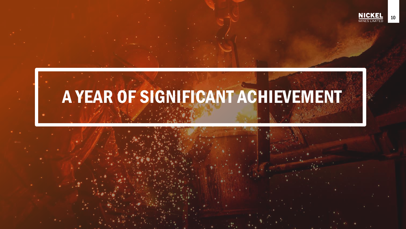

# A YEAR OF SIGNIFICANT ACHIEVEMENT

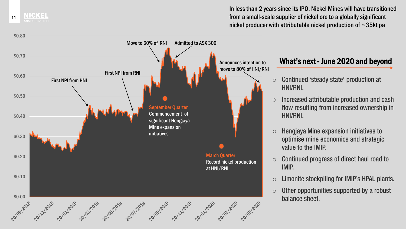In less than 2 years since its IPO, Nickel Mines will have transitioned from a small-scale supplier of nickel ore to a globally significant nickel producer with attributable nickel production of ~35kt pa



11

NICKEL

#### What's next - June 2020 and beyond

- Continued 'steady state' production at o HNI/RNI.
- Increased attributable production and cash o flow resulting from increased ownership in HNI/RNI.
- Hengjaya Mine expansion initiatives to o optimise mine economics and strategic value to the IMIP.
- Continued progress of direct haul road to o **IMIP.**
- Limonite stockpiling for IMIP's HPAL plants. o
- Other opportunities supported by a robust o balance sheet.